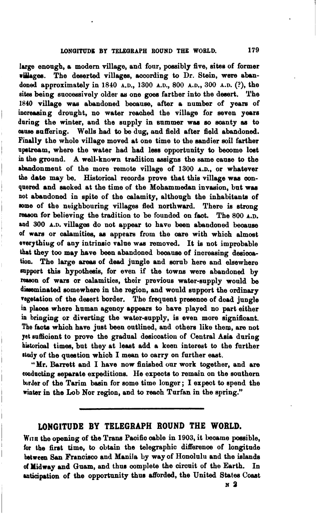large enough, a modern village, and four, possibly five, sites of former villages. The deserted villages, according to Dr. Stein, were abandond approximately in **1840** A.D., **1300** A.D., **800** A.D., **300 A.D.** (?), the sites being successively older as one goes farther into the desert. The 1840 village was abandoned beoauee, after a number of yeam of increasing drought, no water reached the village for seven years daring the winter, and the supply in summer was so aoanty **as** to **mnse** suffering. Wells had to be dug, and field after field abandoned. Findly the whole village moved at one time to the sandier **mil** farther upstream, where the water had had less opportunity to become lost in the ground. A well-known tradition aseigne the same cause to the abandonment of the more remote village of **1300** A.D., or whatever the date may be. Historical records prove that this village was conquered and sacked at the time of the Mohammedan invasion, but was not abandoned in spite of the calamity, although the inhabitants of some of the neighbouring villages fled northward. There is strong reason for believing the tradition to be foundod on faot. The **800** A.D. and 300 A.D. villages do not appear to have been abandoned because of wars or calamities, as appears from the care with which almost everythiug of any intrinsic value was removed. It is not improbable that they too may have been abandoned because of increasing desicoation. The large **areee** of dead jungle and **sorub** here and elsewhere mpport thie hypotheais, for even if the towns were abandoned by reason of wars or calamities, their previous water-supply would be disseminated somewhere in the region, and would support the ordinary vegetation of the desert border. The frequent presence of dead jungle in places where human agency appears to have played no part either in bringing or diverting the water-supply, ie even more eignifioant. The **faote** whioh have just been outlined, and others like them, are not **yet** suffioient to prove the gradual desiccatiou of Central Aeia during hitorical times, but they at leaat add a keen interest to the further study of the question which I mean to carry on further east.

"Mr. Barrett and I have now finished our work together, and are coadacting separate expeditions. He expects to remain on the southern border of the Tarim baain for some time longer ; I expeot to epend the winter in the Lob Nor region, and to reach Turfan in the spring."

## **LONGITUDE BY TELEGRAPH ROUND THE WORLD.**

WITH the opening of the Trans Pacific cable in 1903, it became possible. for the firat time, to obtain the telegraphic differenoe of longitude between San Francisco and Manila by way of Honolulu and the islands **of** Midway and Guam, and than complete the circuit of the Earth. In anticipation of the opportunity thus afforded, the United States Coast

**N a**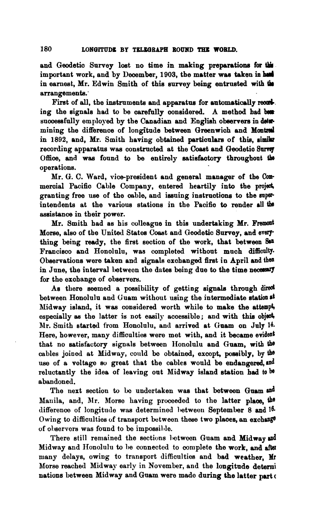and Geodetic Survey lost no time in making preparations for this important work, and by December, 1903, the matter was taken in had in earnest, Mr. Edwin Smith of this survey being entrusted **with ih**  arrangementa:

First of all, the instruments and apparatus for automatically recording the signals had to be carefully considered. A method had been successfully employed by the Canadian and English observers in determining the difference of longitude between Greenwich and **Mantad**  in 1892, and, Mr. Smith having obtained particulars of this, similar recording apparatus was constructed at the Coast and Geodetic Survey Office, and was found to be entirely satisfactory throughout the operations.

Mr. G. C. Ward, vice-president and general manager of the Commercial Pacific Cable Company, entered heartily into the project, granting free use of the cable, and issuing instructions to the superintendents at the various stations in the Pacific to render all the assistance in their power.

Mr. Smith had as his colleague in this undertaking Mr. Fremont Morse, also of the United States Coast and Geodetic Survey, and everything being **ready**, the first section of the work, that between San Francisco and Honolulu, was completed without much difficulty. Observations were taken and signals oxchanged firet in April and **then**  in June, the interval between the dates being due to the time necessary for the exchange of obaervem.

As there seemed a possibility of getting signale through **dired**  between Honolulu and Guam without using the intermediate station at Nidway island, it was considered worth while to make the attempt, especially as the latter is not easily accessible; and with this object, Mr. Smith started from Honolulu, and arrived at **(faam** on July 14. Here, however, many difficulties were met with, and it became evident that no setisfactory signals between IIonolulu and Guam, with **the**  cables joined at Midway, could be obtained, except, possibly, by the use of a voltage so great that the cables would be endangered, and reluctantly the idea of leaving out Nidway island station bad to **be**  abandoned.

The next section to be undertaken was that between Guam and Manila, and, Mr. Morse having proceeded to the latter **plaoe, the**  difference of longitude was determined between September 8 and 16. Owing to difficulties of transport between these two places, an exchange of observors was found to be impossible.

There still remained the sections between Guam and Midway and Midway and Honolulu to be connected to complete the work, and after many delays, owing to transport difficulties and bad weather. Mr Morse reached Midway early in November, and the longitude determi nations between Midway and Guam were made during the latter part of